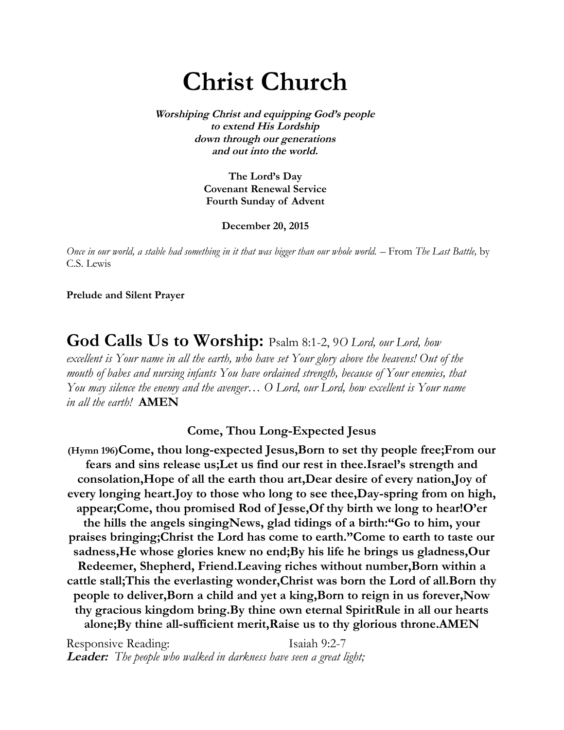# **Christ Church**

**Worshiping Christ and equipping God's people to extend His Lordship down through our generations and out into the world.**

> **The Lord's Day Covenant Renewal Service Fourth Sunday of Advent**

> > **December 20, 2015**

*Once in our world, a stable had something in it that was bigger than our whole world.* – From *The Last Battle,* by C.S. Lewis

**Prelude and Silent Prayer**

**God Calls Us to Worship:** Psalm 8:1-2, 9*O Lord, our Lord, how excellent is Your name in all the earth, who have set Your glory above the heavens! Out of the mouth of babes and nursing infants You have ordained strength, because of Your enemies, that You may silence the enemy and the avenger… O Lord, our Lord, how excellent is Your name in all the earth!* **AMEN**

**Come, Thou Long-Expected Jesus**

**(Hymn 196)Come, thou long-expected Jesus,Born to set thy people free;From our fears and sins release us;Let us find our rest in thee.Israel's strength and consolation,Hope of all the earth thou art,Dear desire of every nation,Joy of every longing heart.Joy to those who long to see thee,Day-spring from on high, appear;Come, thou promised Rod of Jesse,Of thy birth we long to hear!O'er the hills the angels singingNews, glad tidings of a birth:"Go to him, your praises bringing;Christ the Lord has come to earth."Come to earth to taste our sadness,He whose glories knew no end;By his life he brings us gladness,Our Redeemer, Shepherd, Friend.Leaving riches without number,Born within a cattle stall;This the everlasting wonder,Christ was born the Lord of all.Born thy people to deliver,Born a child and yet a king,Born to reign in us forever,Now thy gracious kingdom bring.By thine own eternal SpiritRule in all our hearts alone;By thine all-sufficient merit,Raise us to thy glorious throne.AMEN**

Responsive Reading: Isaiah 9:2-7 **Leader:** *The people who walked in darkness have seen a great light;*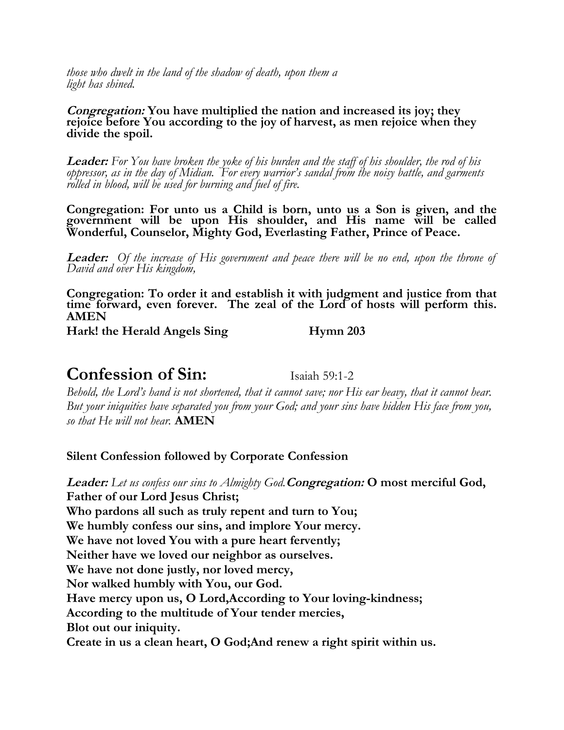*those who dwelt in the land of the shadow of death, upon them a light has shined.*

#### **Congregation: You have multiplied the nation and increased its joy; they rejoice before You according to the joy of harvest, as men rejoice when they divide the spoil.**

**Leader:** *For You have broken the yoke of his burden and the staff of his shoulder, the rod of his oppressor, as in the day of Midian. For every warrior's sandal from the noisy battle, and garments rolled in blood, will be used for burning and fuel of fire.*

**Congregation: For unto us a Child is born, unto us a Son is given, and the government will be upon His shoulder, and His name will be called Wonderful, Counselor, Mighty God, Everlasting Father, Prince of Peace.**

**Leader:** *Of the increase of His government and peace there will be no end, upon the throne of David and over His kingdom,*

**Congregation: To order it and establish it with judgment and justice from that time forward, even forever. The zeal of the Lord of hosts will perform this. AMEN** 

Hark! the Herald Angels Sing **Hymn 203** 

# **Confession of Sin:** Isaiah 59:1-2

*Behold, the Lord's hand is not shortened, that it cannot save; nor His ear heavy, that it cannot hear. But your iniquities have separated you from your God; and your sins have hidden His face from you, so that He will not hear.* **AMEN**

**Silent Confession followed by Corporate Confession** 

**Leader:** *Let us confess our sins to Almighty God.***Congregation: O most merciful God, Father of our Lord Jesus Christ; Who pardons all such as truly repent and turn to You; We humbly confess our sins, and implore Your mercy. We have not loved You with a pure heart fervently; Neither have we loved our neighbor as ourselves. We have not done justly, nor loved mercy, Nor walked humbly with You, our God. Have mercy upon us, O Lord,According to Your loving-kindness; According to the multitude of Your tender mercies, Blot out our iniquity. Create in us a clean heart, O God;And renew a right spirit within us.**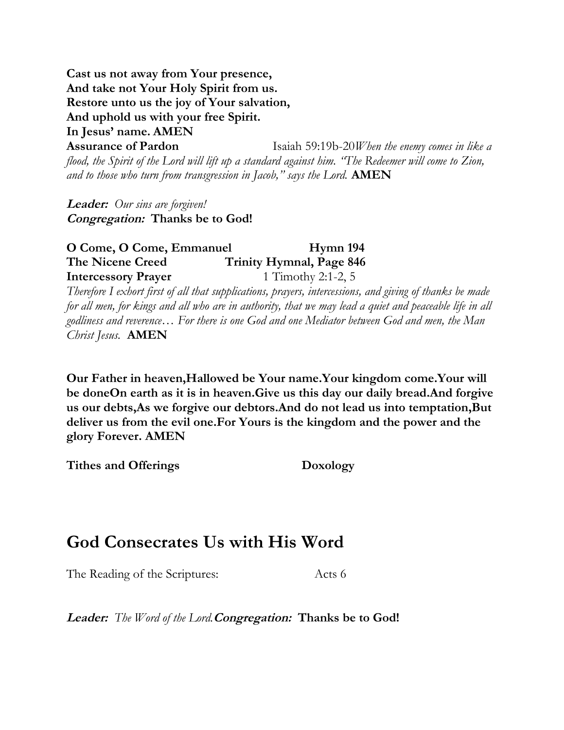**Cast us not away from Your presence, And take not Your Holy Spirit from us. Restore unto us the joy of Your salvation, And uphold us with your free Spirit. In Jesus' name. AMEN**

**Assurance of Pardon** Isaiah 59:19b-20*When the enemy comes in like a flood, the Spirit of the Lord will lift up a standard against him. "The Redeemer will come to Zion, and to those who turn from transgression in Jacob," says the Lord.* **AMEN**

**Leader:** *Our sins are forgiven!* **Congregation: Thanks be to God!**

### **O Come, O Come, Emmanuel Hymn 194 The Nicene Creed Trinity Hymnal, Page 846 Intercessory Prayer** 1 Timothy 2:1-2, 5

*Therefore I exhort first of all that supplications, prayers, intercessions, and giving of thanks be made for all men, for kings and all who are in authority, that we may lead a quiet and peaceable life in all godliness and reverence… For there is one God and one Mediator between God and men, the Man Christ Jesus.* **AMEN**

**Our Father in heaven,Hallowed be Your name.Your kingdom come.Your will be doneOn earth as it is in heaven.Give us this day our daily bread.And forgive us our debts,As we forgive our debtors.And do not lead us into temptation,But deliver us from the evil one.For Yours is the kingdom and the power and the glory Forever. AMEN**

**Tithes and Offerings Doxology**

# **God Consecrates Us with His Word**

The Reading of the Scriptures: Acts 6

**Leader:** *The Word of the Lord.***Congregation: Thanks be to God!**